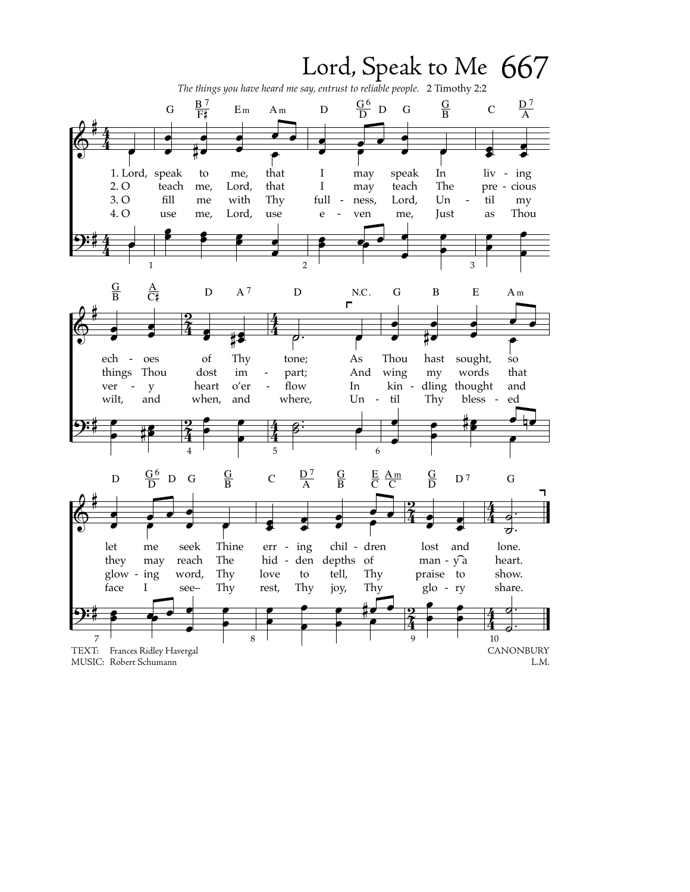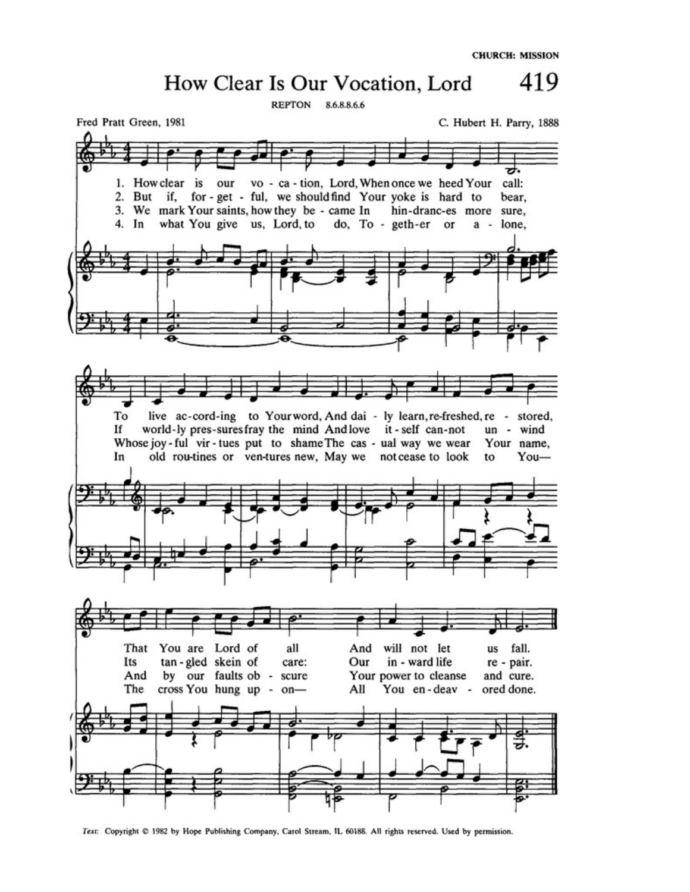

Text: Copyright @ 1982 by Hope Publishing Company, Carol Stream, IL 60188. All rights reserved. Used by permission.